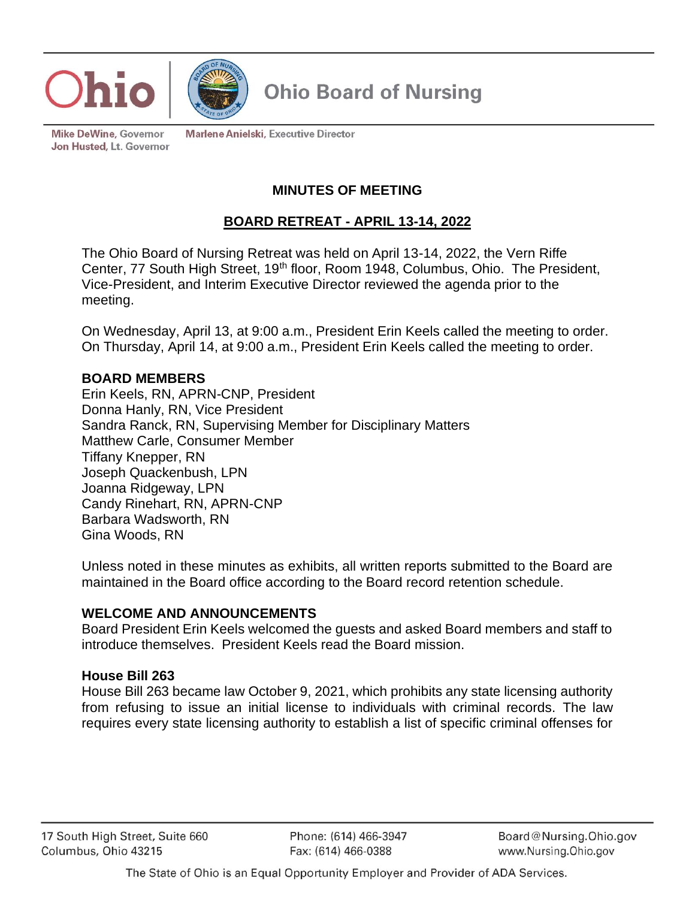



**Mike DeWine, Governor** Jon Husted, Lt. Governor **Marlene Anielski, Executive Director** 

# **MINUTES OF MEETING**

# **BOARD RETREAT - APRIL 13-14, 2022**

The Ohio Board of Nursing Retreat was held on April 13-14, 2022, the Vern Riffe Center, 77 South High Street, 19<sup>th</sup> floor, Room 1948, Columbus, Ohio. The President, Vice-President, and Interim Executive Director reviewed the agenda prior to the meeting.

On Wednesday, April 13, at 9:00 a.m., President Erin Keels called the meeting to order. On Thursday, April 14, at 9:00 a.m., President Erin Keels called the meeting to order.

#### **BOARD MEMBERS**

Erin Keels, RN, APRN-CNP, President Donna Hanly, RN, Vice President Sandra Ranck, RN, Supervising Member for Disciplinary Matters Matthew Carle, Consumer Member Tiffany Knepper, RN Joseph Quackenbush, LPN Joanna Ridgeway, LPN Candy Rinehart, RN, APRN-CNP Barbara Wadsworth, RN Gina Woods, RN

Unless noted in these minutes as exhibits, all written reports submitted to the Board are maintained in the Board office according to the Board record retention schedule.

#### **WELCOME AND ANNOUNCEMENTS**

Board President Erin Keels welcomed the guests and asked Board members and staff to introduce themselves. President Keels read the Board mission.

#### **House Bill 263**

House Bill 263 became law October 9, 2021, which prohibits any state licensing authority from refusing to issue an initial license to individuals with criminal records. The law requires every state licensing authority to establish a list of specific criminal offenses for

Phone: (614) 466-3947 Fax: (614) 466-0388

Board@Nursing.Ohio.gov www.Nursing.Ohio.gov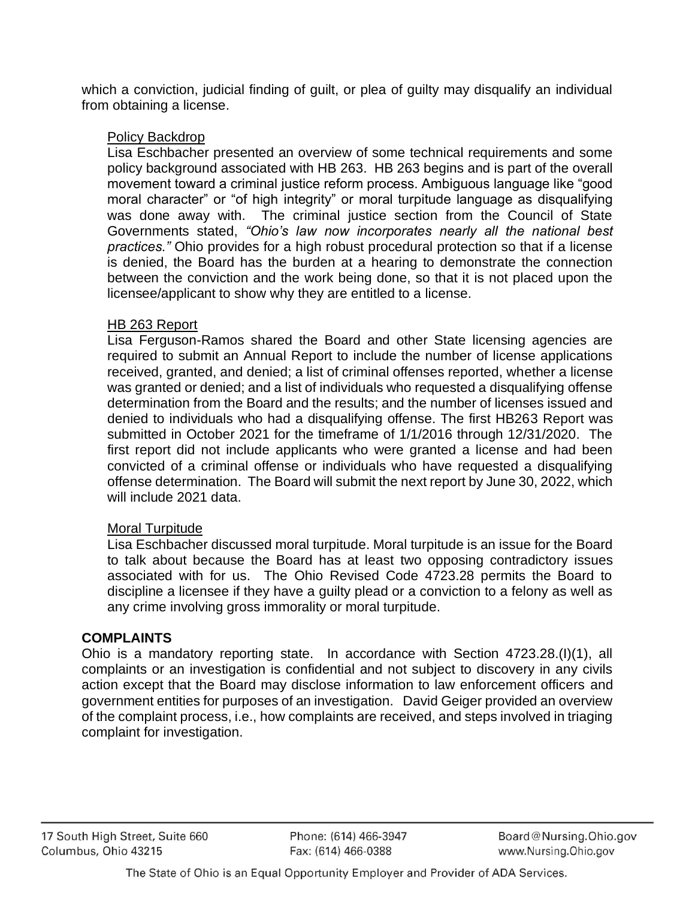which a conviction, judicial finding of guilt, or plea of guilty may disqualify an individual from obtaining a license.

# Policy Backdrop

Lisa Eschbacher presented an overview of some technical requirements and some policy background associated with HB 263. HB 263 begins and is part of the overall movement toward a criminal justice reform process. Ambiguous language like "good moral character" or "of high integrity" or moral turpitude language as disqualifying was done away with. The criminal justice section from the Council of State Governments stated, *"Ohio's law now incorporates nearly all the national best practices."* Ohio provides for a high robust procedural protection so that if a license is denied, the Board has the burden at a hearing to demonstrate the connection between the conviction and the work being done, so that it is not placed upon the licensee/applicant to show why they are entitled to a license.

# HB 263 Report

Lisa Ferguson-Ramos shared the Board and other State licensing agencies are required to submit an Annual Report to include the number of license applications received, granted, and denied; a list of criminal offenses reported, whether a license was granted or denied; and a list of individuals who requested a disqualifying offense determination from the Board and the results; and the number of licenses issued and denied to individuals who had a disqualifying offense. The first HB263 Report was submitted in October 2021 for the timeframe of 1/1/2016 through 12/31/2020. The first report did not include applicants who were granted a license and had been convicted of a criminal offense or individuals who have requested a disqualifying offense determination. The Board will submit the next report by June 30, 2022, which will include 2021 data.

# Moral Turpitude

Lisa Eschbacher discussed moral turpitude. Moral turpitude is an issue for the Board to talk about because the Board has at least two opposing contradictory issues associated with for us. The Ohio Revised Code 4723.28 permits the Board to discipline a licensee if they have a guilty plead or a conviction to a felony as well as any crime involving gross immorality or moral turpitude.

# **COMPLAINTS**

Ohio is a mandatory reporting state. In accordance with Section 4723.28.(I)(1), all complaints or an investigation is confidential and not subject to discovery in any civils action except that the Board may disclose information to law enforcement officers and government entities for purposes of an investigation. David Geiger provided an overview of the complaint process, i.e., how complaints are received, and steps involved in triaging complaint for investigation.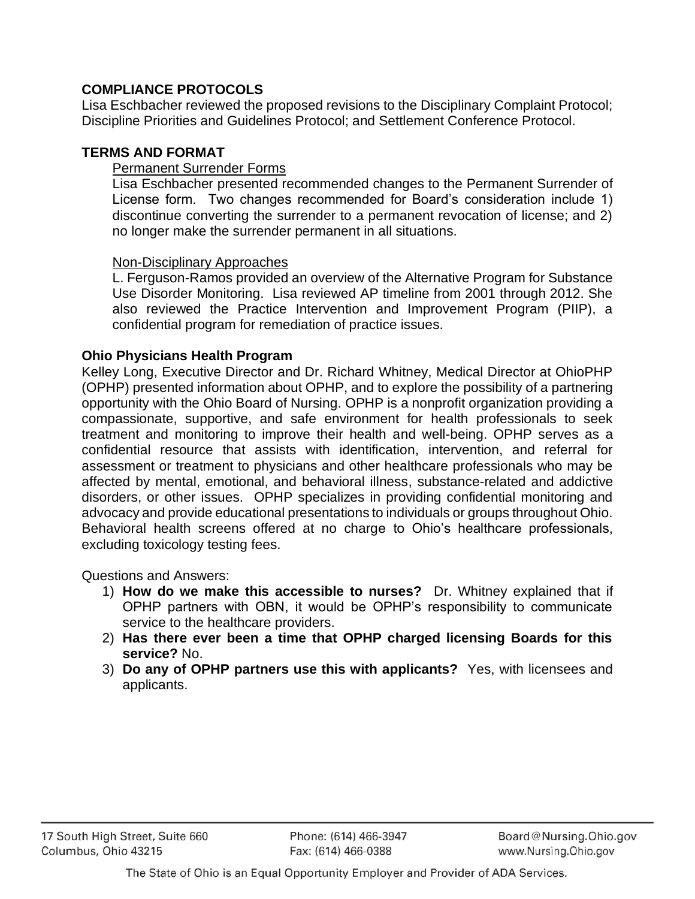# **COMPLIANCE PROTOCOLS**

Lisa Eschbacher reviewed the proposed revisions to the Disciplinary Complaint Protocol; Discipline Priorities and Guidelines Protocol; and Settlement Conference Protocol.

### **TERMS AND FORMAT**

#### Permanent Surrender Forms

Lisa Eschbacher presented recommended changes to the Permanent Surrender of License form. Two changes recommended for Board's consideration include 1) discontinue converting the surrender to a permanent revocation of license; and 2) no longer make the surrender permanent in all situations.

#### Non-Disciplinary Approaches

L. Ferguson-Ramos provided an overview of the Alternative Program for Substance Use Disorder Monitoring. Lisa reviewed AP timeline from 2001 through 2012. She also reviewed the Practice Intervention and Improvement Program (PIIP), a confidential program for remediation of practice issues.

#### **Ohio Physicians Health Program**

Kelley Long, Executive Director and Dr. Richard Whitney, Medical Director at OhioPHP (OPHP) presented information about OPHP, and to explore the possibility of a partnering opportunity with the Ohio Board of Nursing. OPHP is a nonprofit organization providing a compassionate, supportive, and safe environment for health professionals to seek treatment and monitoring to improve their health and well-being. OPHP serves as a confidential resource that assists with identification, intervention, and referral for assessment or treatment to physicians and other healthcare professionals who may be affected by mental, emotional, and behavioral illness, substance-related and addictive disorders, or other issues. OPHP specializes in providing confidential monitoring and advocacy and provide educational presentations to individuals or groups throughout Ohio. Behavioral health screens offered at no charge to Ohio's healthcare professionals, excluding toxicology testing fees.

Questions and Answers:

- 1) **How do we make this accessible to nurses?** Dr. Whitney explained that if OPHP partners with OBN, it would be OPHP's responsibility to communicate service to the healthcare providers.
- 2) **Has there ever been a time that OPHP charged licensing Boards for this service?** No.
- 3) **Do any of OPHP partners use this with applicants?** Yes, with licensees and applicants.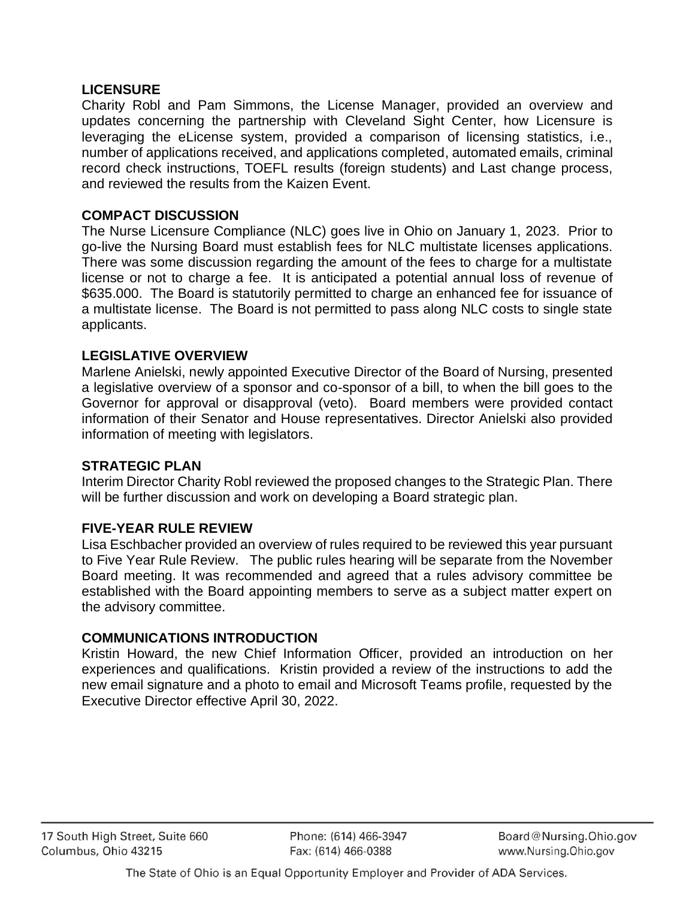### **LICENSURE**

Charity Robl and Pam Simmons, the License Manager, provided an overview and updates concerning the partnership with Cleveland Sight Center, how Licensure is leveraging the eLicense system, provided a comparison of licensing statistics, i.e., number of applications received, and applications completed, automated emails, criminal record check instructions, TOEFL results (foreign students) and Last change process, and reviewed the results from the Kaizen Event.

## **COMPACT DISCUSSION**

The Nurse Licensure Compliance (NLC) goes live in Ohio on January 1, 2023. Prior to go-live the Nursing Board must establish fees for NLC multistate licenses applications. There was some discussion regarding the amount of the fees to charge for a multistate license or not to charge a fee. It is anticipated a potential annual loss of revenue of \$635.000. The Board is statutorily permitted to charge an enhanced fee for issuance of a multistate license. The Board is not permitted to pass along NLC costs to single state applicants.

#### **LEGISLATIVE OVERVIEW**

Marlene Anielski, newly appointed Executive Director of the Board of Nursing, presented a legislative overview of a sponsor and co-sponsor of a bill, to when the bill goes to the Governor for approval or disapproval (veto). Board members were provided contact information of their Senator and House representatives. Director Anielski also provided information of meeting with legislators.

#### **STRATEGIC PLAN**

Interim Director Charity Robl reviewed the proposed changes to the Strategic Plan. There will be further discussion and work on developing a Board strategic plan.

## **FIVE-YEAR RULE REVIEW**

Lisa Eschbacher provided an overview of rules required to be reviewed this year pursuant to Five Year Rule Review. The public rules hearing will be separate from the November Board meeting. It was recommended and agreed that a rules advisory committee be established with the Board appointing members to serve as a subject matter expert on the advisory committee.

#### **COMMUNICATIONS INTRODUCTION**

Kristin Howard, the new Chief Information Officer, provided an introduction on her experiences and qualifications. Kristin provided a review of the instructions to add the new email signature and a photo to email and Microsoft Teams profile, requested by the Executive Director effective April 30, 2022.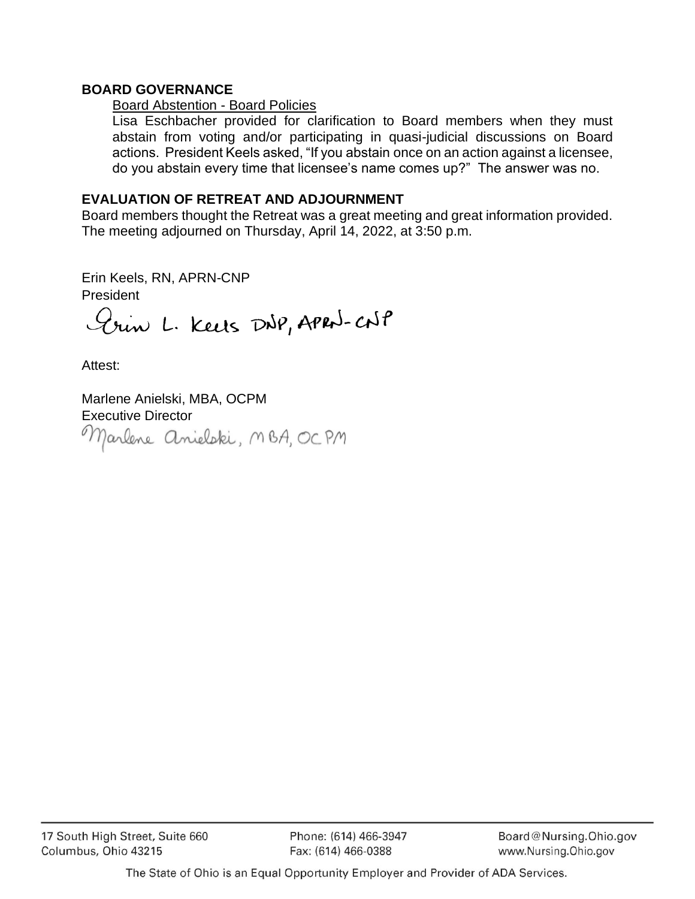### **BOARD GOVERNANCE**

#### Board Abstention - Board Policies

Lisa Eschbacher provided for clarification to Board members when they must abstain from voting and/or participating in quasi-judicial discussions on Board actions. President Keels asked, "If you abstain once on an action against a licensee, do you abstain every time that licensee's name comes up?" The answer was no.

### **EVALUATION OF RETREAT AND ADJOURNMENT**

Board members thought the Retreat was a great meeting and great information provided. The meeting adjourned on Thursday, April 14, 2022, at 3:50 p.m.

Erin Keels, RN, APRN-CNP President

Erin L. Keets DNP, APRN-CNP

Attest:

Marlene Anielski, MBA, OCPM Executive Director<br>Marlene Anieloki, MBA, OCPM